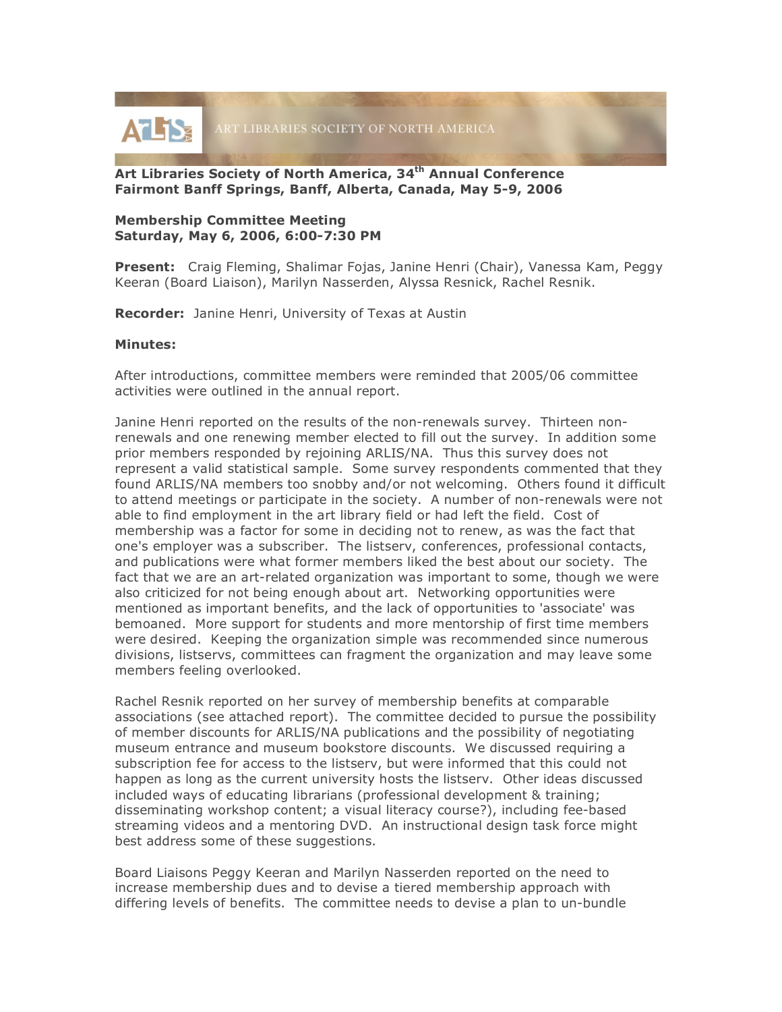

# **Art Libraries Society of North America, 34th Annual Conference Fairmont Banff Springs, Banff, Alberta, Canada, May 5-9, 2006**

# **Membership Committee Meeting Saturday, May 6, 2006, 6:00-7:30 PM**

**Present:** Craig Fleming, Shalimar Fojas, Janine Henri (Chair), Vanessa Kam, Peggy Keeran (Board Liaison), Marilyn Nasserden, Alyssa Resnick, Rachel Resnik.

**Recorder:** Janine Henri, University of Texas at Austin

## **Minutes:**

After introductions, committee members were reminded that 2005/06 committee activities were outlined in the annual report.

Janine Henri reported on the results of the non-renewals survey. Thirteen nonrenewals and one renewing member elected to fill out the survey. In addition some prior members responded by rejoining ARLIS/NA. Thus this survey does not represent a valid statistical sample. Some survey respondents commented that they found ARLIS/NA members too snobby and/or not welcoming. Others found it difficult to attend meetings or participate in the society. A number of non-renewals were not able to find employment in the art library field or had left the field. Cost of membership was a factor for some in deciding not to renew, as was the fact that one's employer was a subscriber. The listserv, conferences, professional contacts, and publications were what former members liked the best about our society. The fact that we are an art-related organization was important to some, though we were also criticized for not being enough about art. Networking opportunities were mentioned as important benefits, and the lack of opportunities to 'associate' was bemoaned. More support for students and more mentorship of first time members were desired. Keeping the organization simple was recommended since numerous divisions, listservs, committees can fragment the organization and may leave some members feeling overlooked.

Rachel Resnik reported on her survey of membership benefits at comparable associations (see attached report). The committee decided to pursue the possibility of member discounts for ARLIS/NA publications and the possibility of negotiating museum entrance and museum bookstore discounts. We discussed requiring a subscription fee for access to the listserv, but were informed that this could not happen as long as the current university hosts the listserv. Other ideas discussed included ways of educating librarians (professional development & training; disseminating workshop content; a visual literacy course?), including fee-based streaming videos and a mentoring DVD. An instructional design task force might best address some of these suggestions.

Board Liaisons Peggy Keeran and Marilyn Nasserden reported on the need to increase membership dues and to devise a tiered membership approach with differing levels of benefits. The committee needs to devise a plan to un-bundle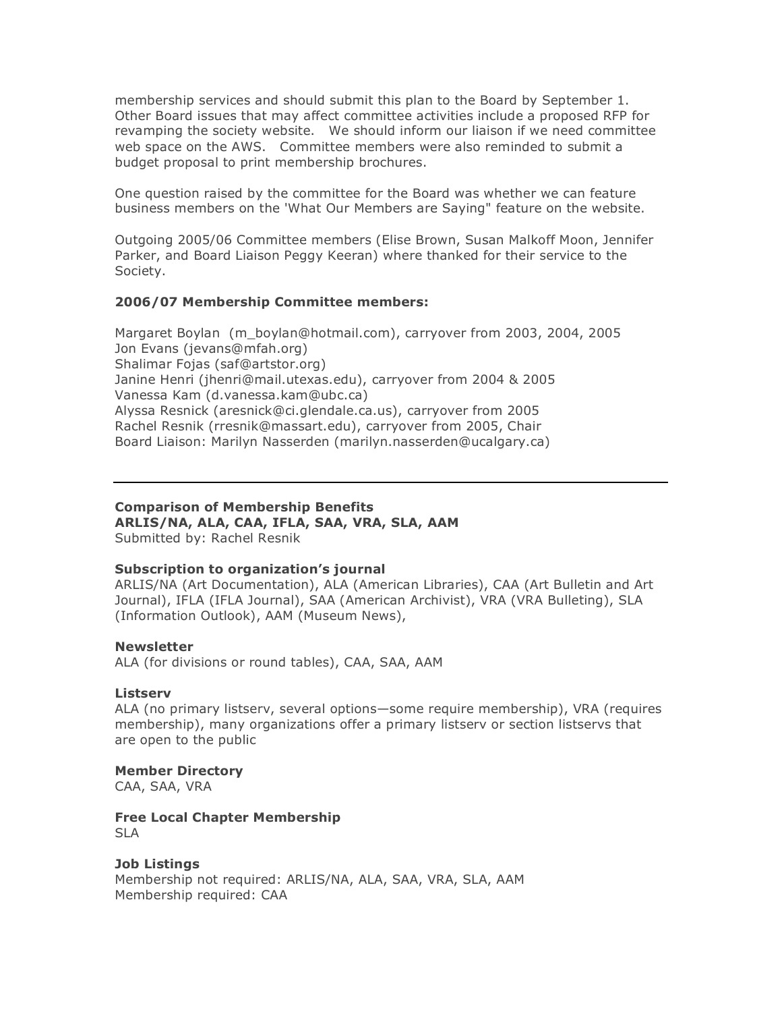membership services and should submit this plan to the Board by September 1. Other Board issues that may affect committee activities include a proposed RFP for revamping the society website. We should inform our liaison if we need committee web space on the AWS. Committee members were also reminded to submit a budget proposal to print membership brochures.

One question raised by the committee for the Board was whether we can feature business members on the 'What Our Members are Saying" feature on the website.

Outgoing 2005/06 Committee members (Elise Brown, Susan Malkoff Moon, Jennifer Parker, and Board Liaison Peggy Keeran) where thanked for their service to the Society.

## **2006/07 Membership Committee members:**

Margaret Boylan (m\_boylan@hotmail.com), carryover from 2003, 2004, 2005 Jon Evans (jevans@mfah.org) Shalimar Fojas (saf@artstor.org) Janine Henri (jhenri@mail.utexas.edu), carryover from 2004 & 2005 Vanessa Kam (d.vanessa.kam@ubc.ca) Alyssa Resnick (aresnick@ci.glendale.ca.us), carryover from 2005 Rachel Resnik (rresnik@massart.edu), carryover from 2005, Chair Board Liaison: Marilyn Nasserden (marilyn.nasserden@ucalgary.ca)

# **Comparison of Membership Benefits**

**ARLIS/NA, ALA, CAA, IFLA, SAA, VRA, SLA, AAM** Submitted by: Rachel Resnik

# **Subscription to organization's journal**

ARLIS/NA (Art Documentation), ALA (American Libraries), CAA (Art Bulletin and Art Journal), IFLA (IFLA Journal), SAA (American Archivist), VRA (VRA Bulleting), SLA (Information Outlook), AAM (Museum News),

### **Newsletter**

ALA (for divisions or round tables), CAA, SAA, AAM

### **Listserv**

ALA (no primary listserv, several options—some require membership), VRA (requires membership), many organizations offer a primary listserv or section listservs that are open to the public

### **Member Directory**

CAA, SAA, VRA

#### **Free Local Chapter Membership** SLA

# **Job Listings**

Membership not required: ARLIS/NA, ALA, SAA, VRA, SLA, AAM Membership required: CAA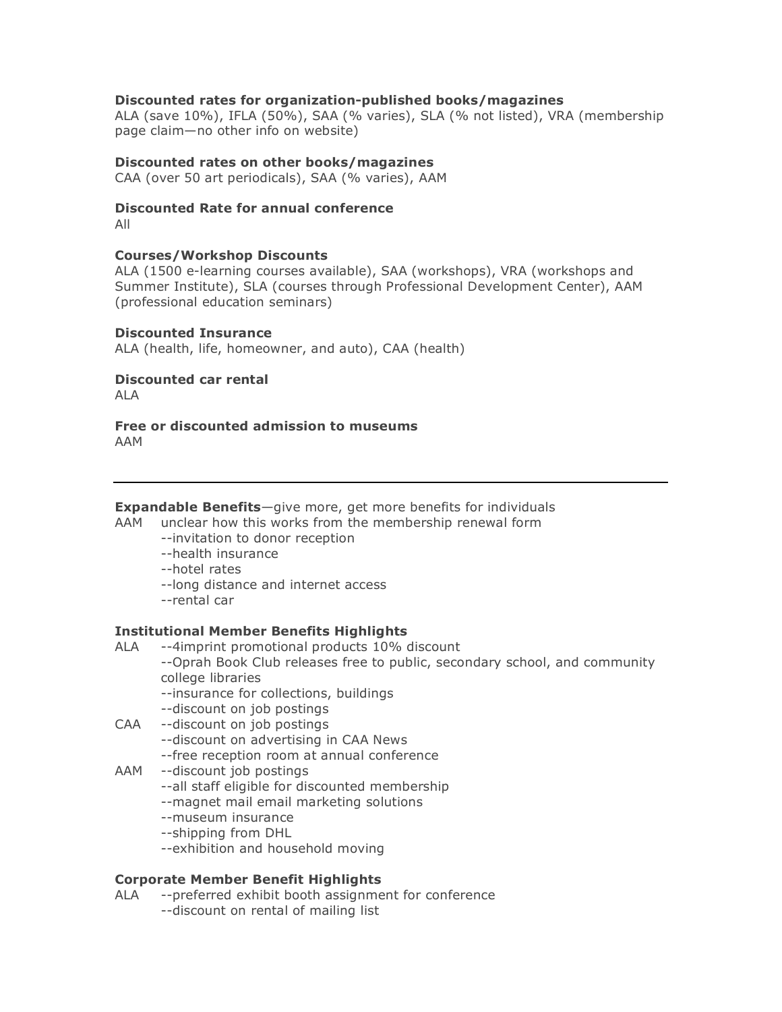# **Discounted rates for organization-published books/magazines**

ALA (save 10%), IFLA (50%), SAA (% varies), SLA (% not listed), VRA (membership page claim—no other info on website)

## **Discounted rates on other books/magazines**

CAA (over 50 art periodicals), SAA (% varies), AAM

# **Discounted Rate for annual conference**

All

## **Courses/Workshop Discounts**

ALA (1500 e-learning courses available), SAA (workshops), VRA (workshops and Summer Institute), SLA (courses through Professional Development Center), AAM (professional education seminars)

## **Discounted Insurance**

ALA (health, life, homeowner, and auto), CAA (health)

# **Discounted car rental**

ALA

#### **Free or discounted admission to museums** AAM

**Expandable Benefits**—give more, get more benefits for individuals

AAM unclear how this works from the membership renewal form

- --invitation to donor reception
- --health insurance
- --hotel rates
- --long distance and internet access
- --rental car

### **Institutional Member Benefits Highlights**

- ALA --4imprint promotional products 10% discount
	- --Oprah Book Club releases free to public, secondary school, and community college libraries
		- --insurance for collections, buildings
		- --discount on job postings
- CAA --discount on job postings
	- --discount on advertising in CAA News
	- --free reception room at annual conference
- AAM --discount job postings
	- --all staff eligible for discounted membership
	- --magnet mail email marketing solutions
	- --museum insurance
	- --shipping from DHL
	- --exhibition and household moving

### **Corporate Member Benefit Highlights**

ALA --preferred exhibit booth assignment for conference --discount on rental of mailing list